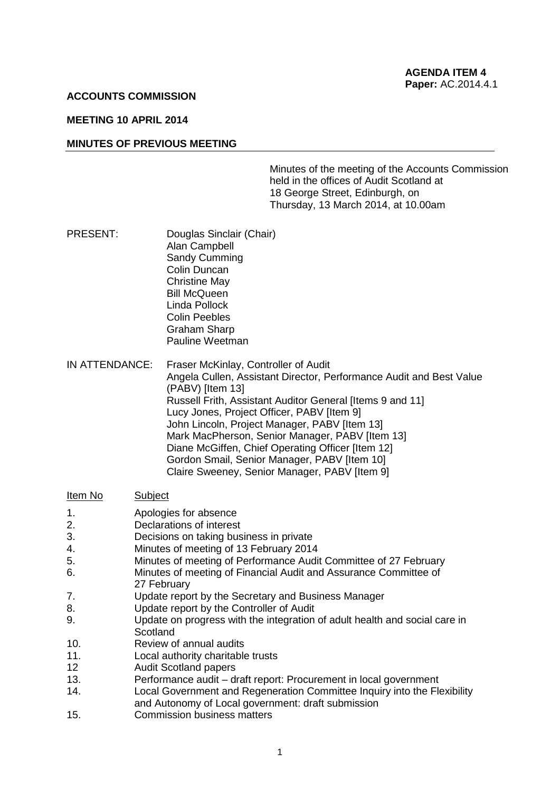## **ACCOUNTS COMMISSION**

# **MEETING 10 APRIL 2014**

### **MINUTES OF PREVIOUS MEETING**

Minutes of the meeting of the Accounts Commission held in the offices of Audit Scotland at 18 George Street, Edinburgh, on Thursday, 13 March 2014, at 10.00am

- PRESENT: Douglas Sinclair (Chair) Alan Campbell Sandy Cumming Colin Duncan Christine May Bill McQueen Linda Pollock Colin Peebles Graham Sharp Pauline Weetman
- IN ATTENDANCE: Fraser McKinlay, Controller of Audit Angela Cullen, Assistant Director, Performance Audit and Best Value (PABV) [Item 13] Russell Frith, Assistant Auditor General [Items 9 and 11] Lucy Jones, Project Officer, PABV [Item 9] John Lincoln, Project Manager, PABV [Item 13] Mark MacPherson, Senior Manager, PABV [Item 13] Diane McGiffen, Chief Operating Officer [Item 12] Gordon Smail, Senior Manager, PABV [Item 10] Claire Sweeney, Senior Manager, PABV [Item 9]

### Item No Subject

- 1. Apologies for absence
- 2. **Declarations of interest**<br>3. **Decisions on taking bus**
- Decisions on taking business in private
- 4. Minutes of meeting of 13 February 2014
- 5. Minutes of meeting of Performance Audit Committee of 27 February
- 6. Minutes of meeting of Financial Audit and Assurance Committee of
- 27 February
- 7. Update report by the Secretary and Business Manager
- 8. Update report by the Controller of Audit
- 9. Update on progress with the integration of adult health and social care in **Scotland**
- 10. Review of annual audits
- 11. Local authority charitable trusts
- 12 Audit Scotland papers
- 13. Performance audit draft report: Procurement in local government
- 14. Local Government and Regeneration Committee Inquiry into the Flexibility and Autonomy of Local government: draft submission
- 15. Commission business matters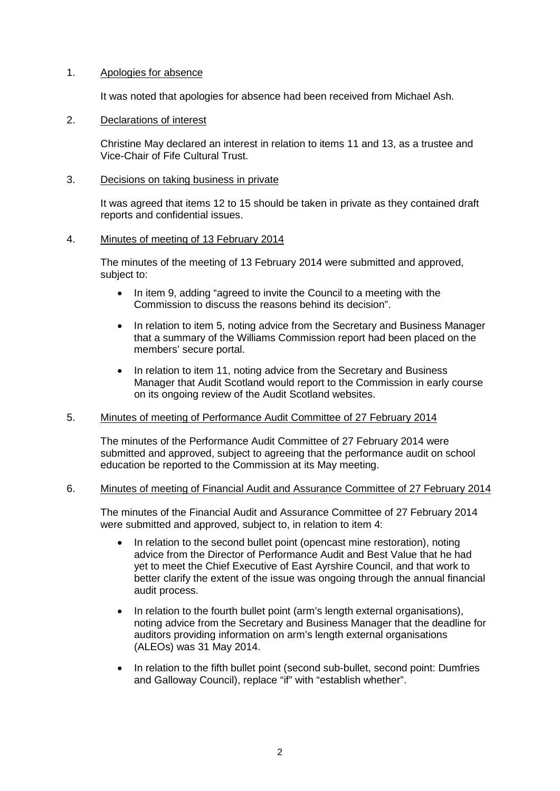## 1. Apologies for absence

It was noted that apologies for absence had been received from Michael Ash.

# 2. Declarations of interest

Christine May declared an interest in relation to items 11 and 13, as a trustee and Vice-Chair of Fife Cultural Trust.

# 3. Decisions on taking business in private

It was agreed that items 12 to 15 should be taken in private as they contained draft reports and confidential issues.

## 4. Minutes of meeting of 13 February 2014

The minutes of the meeting of 13 February 2014 were submitted and approved, subject to:

- In item 9, adding "agreed to invite the Council to a meeting with the Commission to discuss the reasons behind its decision".
- In relation to item 5, noting advice from the Secretary and Business Manager that a summary of the Williams Commission report had been placed on the members' secure portal.
- In relation to item 11, noting advice from the Secretary and Business Manager that Audit Scotland would report to the Commission in early course on its ongoing review of the Audit Scotland websites.

# 5. Minutes of meeting of Performance Audit Committee of 27 February 2014

The minutes of the Performance Audit Committee of 27 February 2014 were submitted and approved, subject to agreeing that the performance audit on school education be reported to the Commission at its May meeting.

# 6. Minutes of meeting of Financial Audit and Assurance Committee of 27 February 2014

The minutes of the Financial Audit and Assurance Committee of 27 February 2014 were submitted and approved, subject to, in relation to item 4:

- In relation to the second bullet point (opencast mine restoration), noting advice from the Director of Performance Audit and Best Value that he had yet to meet the Chief Executive of East Ayrshire Council, and that work to better clarify the extent of the issue was ongoing through the annual financial audit process.
- In relation to the fourth bullet point (arm's length external organisations), noting advice from the Secretary and Business Manager that the deadline for auditors providing information on arm's length external organisations (ALEOs) was 31 May 2014.
- In relation to the fifth bullet point (second sub-bullet, second point: Dumfries and Galloway Council), replace "if" with "establish whether".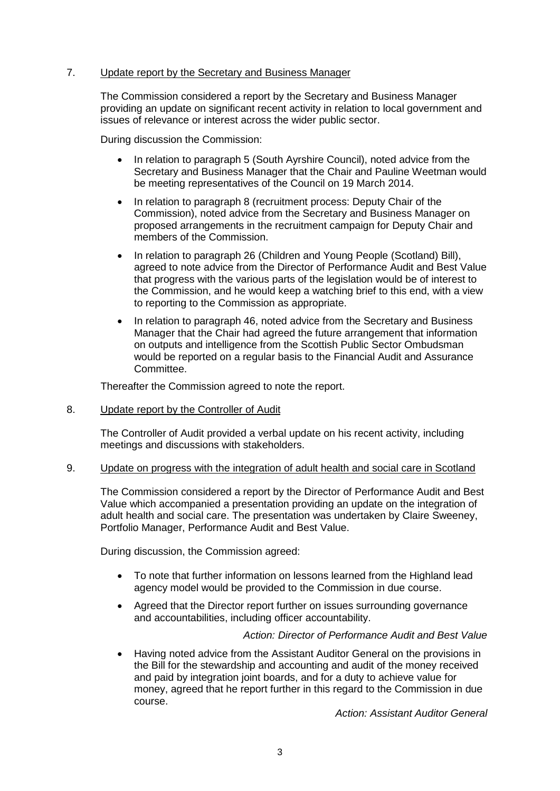# 7. Update report by the Secretary and Business Manager

The Commission considered a report by the Secretary and Business Manager providing an update on significant recent activity in relation to local government and issues of relevance or interest across the wider public sector.

During discussion the Commission:

- In relation to paragraph 5 (South Ayrshire Council), noted advice from the Secretary and Business Manager that the Chair and Pauline Weetman would be meeting representatives of the Council on 19 March 2014.
- In relation to paragraph 8 (recruitment process: Deputy Chair of the Commission), noted advice from the Secretary and Business Manager on proposed arrangements in the recruitment campaign for Deputy Chair and members of the Commission.
- In relation to paragraph 26 (Children and Young People (Scotland) Bill), agreed to note advice from the Director of Performance Audit and Best Value that progress with the various parts of the legislation would be of interest to the Commission, and he would keep a watching brief to this end, with a view to reporting to the Commission as appropriate.
- In relation to paragraph 46, noted advice from the Secretary and Business Manager that the Chair had agreed the future arrangement that information on outputs and intelligence from the Scottish Public Sector Ombudsman would be reported on a regular basis to the Financial Audit and Assurance Committee.

Thereafter the Commission agreed to note the report.

8. Update report by the Controller of Audit

The Controller of Audit provided a verbal update on his recent activity, including meetings and discussions with stakeholders.

### 9. Update on progress with the integration of adult health and social care in Scotland

The Commission considered a report by the Director of Performance Audit and Best Value which accompanied a presentation providing an update on the integration of adult health and social care. The presentation was undertaken by Claire Sweeney, Portfolio Manager, Performance Audit and Best Value.

During discussion, the Commission agreed:

- To note that further information on lessons learned from the Highland lead agency model would be provided to the Commission in due course.
- Agreed that the Director report further on issues surrounding governance and accountabilities, including officer accountability.

*Action: Director of Performance Audit and Best Value*

• Having noted advice from the Assistant Auditor General on the provisions in the Bill for the stewardship and accounting and audit of the money received and paid by integration joint boards, and for a duty to achieve value for money, agreed that he report further in this regard to the Commission in due course.

*Action: Assistant Auditor General*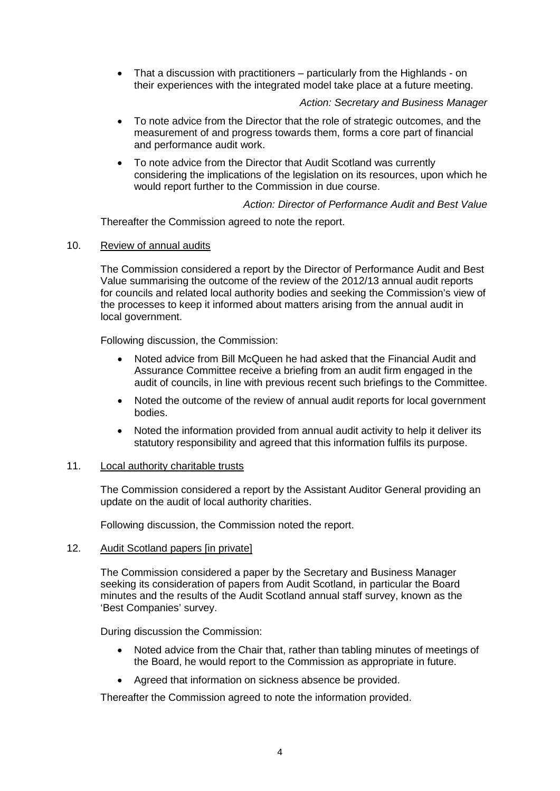• That a discussion with practitioners – particularly from the Highlands - on their experiences with the integrated model take place at a future meeting.

## *Action: Secretary and Business Manager*

- To note advice from the Director that the role of strategic outcomes, and the measurement of and progress towards them, forms a core part of financial and performance audit work.
- To note advice from the Director that Audit Scotland was currently considering the implications of the legislation on its resources, upon which he would report further to the Commission in due course.

# *Action: Director of Performance Audit and Best Value*

Thereafter the Commission agreed to note the report.

10. Review of annual audits

The Commission considered a report by the Director of Performance Audit and Best Value summarising the outcome of the review of the 2012/13 annual audit reports for councils and related local authority bodies and seeking the Commission's view of the processes to keep it informed about matters arising from the annual audit in local government.

Following discussion, the Commission:

- Noted advice from Bill McQueen he had asked that the Financial Audit and Assurance Committee receive a briefing from an audit firm engaged in the audit of councils, in line with previous recent such briefings to the Committee.
- Noted the outcome of the review of annual audit reports for local government bodies.
- Noted the information provided from annual audit activity to help it deliver its statutory responsibility and agreed that this information fulfils its purpose.

### 11. Local authority charitable trusts

The Commission considered a report by the Assistant Auditor General providing an update on the audit of local authority charities.

Following discussion, the Commission noted the report.

### 12. Audit Scotland papers [in private]

The Commission considered a paper by the Secretary and Business Manager seeking its consideration of papers from Audit Scotland, in particular the Board minutes and the results of the Audit Scotland annual staff survey, known as the 'Best Companies' survey.

During discussion the Commission:

- Noted advice from the Chair that, rather than tabling minutes of meetings of the Board, he would report to the Commission as appropriate in future.
- Agreed that information on sickness absence be provided.

Thereafter the Commission agreed to note the information provided.